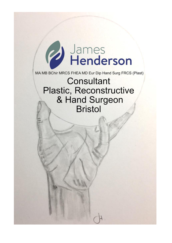